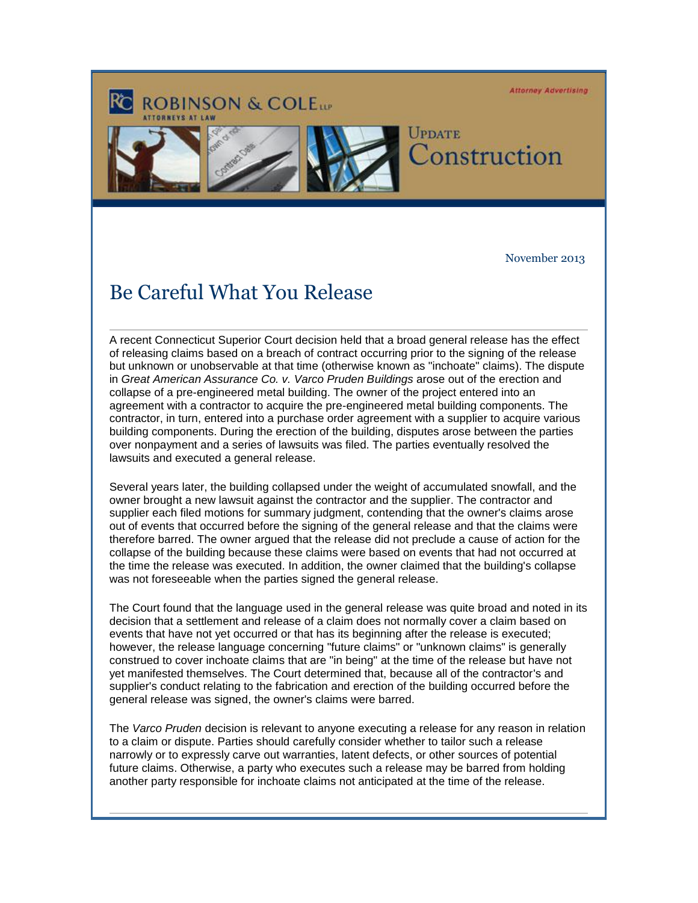**Attorney Advertising** 

## **ROBINSON & COLETT**





## UPDATE onstruction

November 2013

## Be Careful What You Release

A recent Connecticut Superior Court decision held that a broad general release has the effect of releasing claims based on a breach of contract occurring prior to the signing of the release but unknown or unobservable at that time (otherwise known as "inchoate" claims). The dispute in *Great American Assurance Co. v. Varco Pruden Buildings* arose out of the erection and collapse of a pre-engineered metal building. The owner of the project entered into an agreement with a contractor to acquire the pre-engineered metal building components. The contractor, in turn, entered into a purchase order agreement with a supplier to acquire various building components. During the erection of the building, disputes arose between the parties over nonpayment and a series of lawsuits was filed. The parties eventually resolved the lawsuits and executed a general release.

Several years later, the building collapsed under the weight of accumulated snowfall, and the owner brought a new lawsuit against the contractor and the supplier. The contractor and supplier each filed motions for summary judgment, contending that the owner's claims arose out of events that occurred before the signing of the general release and that the claims were therefore barred. The owner argued that the release did not preclude a cause of action for the collapse of the building because these claims were based on events that had not occurred at the time the release was executed. In addition, the owner claimed that the building's collapse was not foreseeable when the parties signed the general release.

The Court found that the language used in the general release was quite broad and noted in its decision that a settlement and release of a claim does not normally cover a claim based on events that have not yet occurred or that has its beginning after the release is executed; however, the release language concerning "future claims" or "unknown claims" is generally construed to cover inchoate claims that are "in being" at the time of the release but have not yet manifested themselves. The Court determined that, because all of the contractor's and supplier's conduct relating to the fabrication and erection of the building occurred before the general release was signed, the owner's claims were barred.

The *Varco Pruden* decision is relevant to anyone executing a release for any reason in relation to a claim or dispute. Parties should carefully consider whether to tailor such a release narrowly or to expressly carve out warranties, latent defects, or other sources of potential future claims. Otherwise, a party who executes such a release may be barred from holding another party responsible for inchoate claims not anticipated at the time of the release.